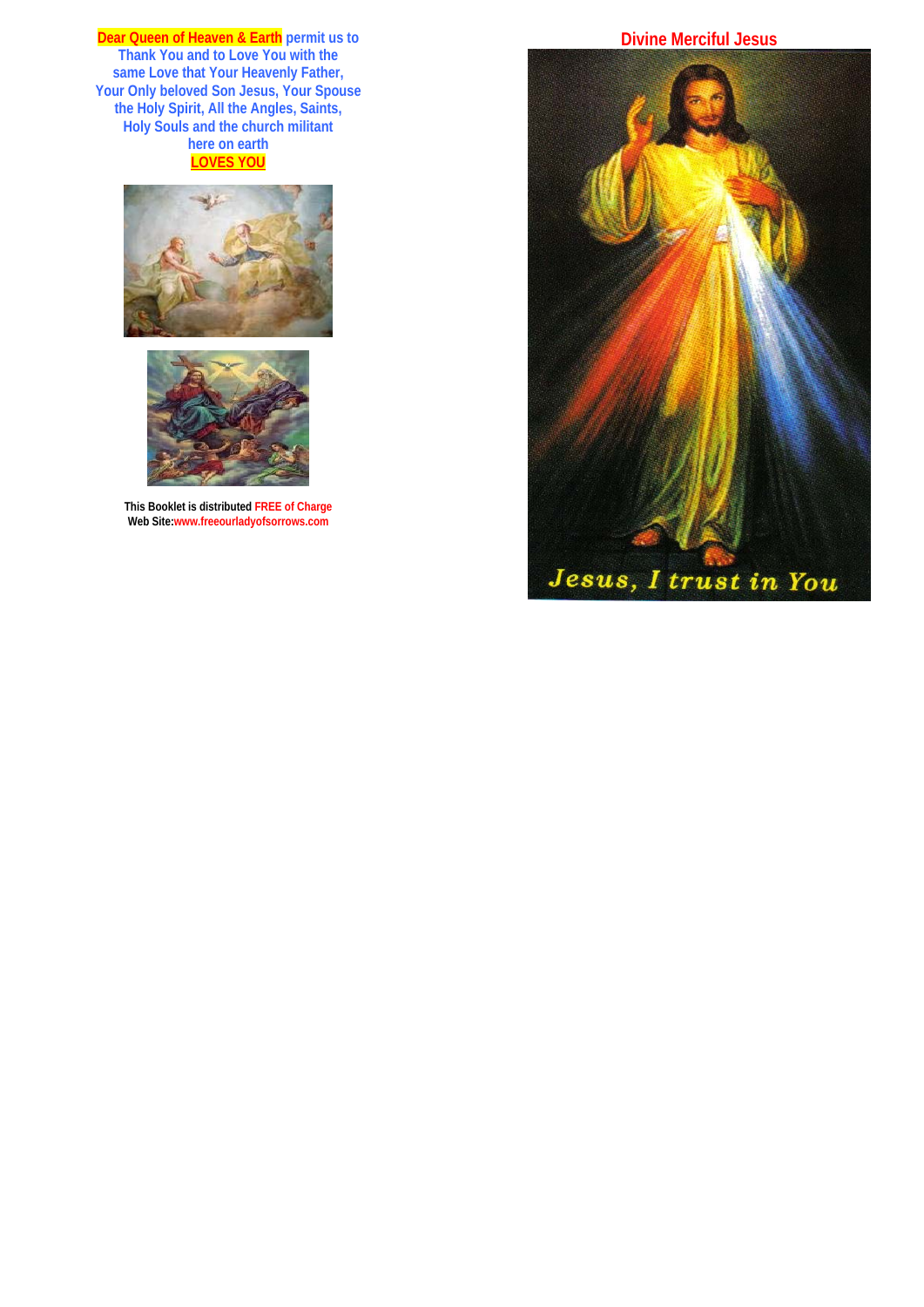**Dear Queen of Heaven & Earth permit us to Thank You and to Love You with the same Love that Your Heavenly Father, Your Only beloved Son Jesus, Your Spouse the Holy Spirit, All the Angles, Saints, Holy Souls and the church militant here on earth LOVES YOU**





**This Booklet is distributed FREE of Charge Web Site:www.freeourladyofsorrows.com** 

# **Divine Merciful Jesus**

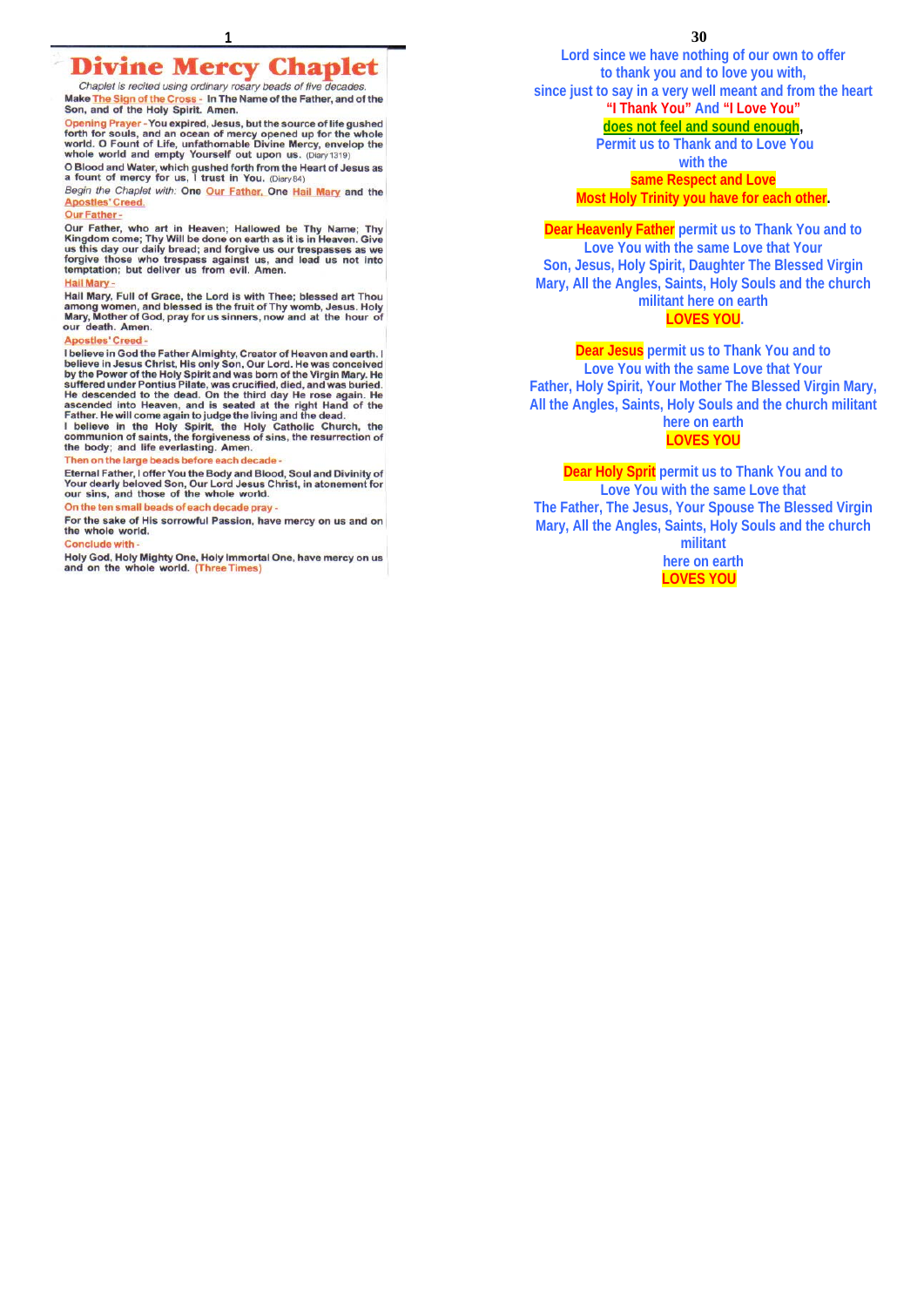Chaplet is recited using ordinary rosary beads of five decades. Make The Sign of the Cross - In The Name of the Father, and of the Son, and of the Holy Spirit. Amen.

Opening Prayer - You expired, Jesus, but the source of life gushed forth for souls, and an ocean of mercy opened up for the whole<br>world. O Fount of Life, unfathomable Divine Mercy, envelop the<br>whole world and empty Yourself out upon us. (Diary 1319)

O Blood and Water, which gushed forth from the Heart of Jesus as<br>a fount of mercy for us, I trust in You. (Diary84)

Begin the Chaplet with: One Our Father, One Hail Mary and the Apostles' Creed.

# Our Father -

Our Father, who art in Heaven; Hallowed be Thy Name; Thy<br>Our Father, who art in Heaven; Hallowed be Thy Name; Thy<br>Kingdom come; Thy Will be done on earth as it is in Heaven. Give<br>us this day our daily bread; and forgive us

#### Hail Mary -

The Hail Mary, Full of Grace, the Lord is with Thee; blessed art Thou<br>among women, and blessed is the fruit of Thy womb, Jesus. Holy<br>Mary, Mother of God, pray for us sinners, now and at the hour of<br>our death. Amen.

#### **Apostles' Creed**

Apostles' Creed -<br>
believe in God the Father Almighty, Creator of Heaven and earth. I<br>
believe in God the Father Almighty, Creator of Heaven and earth. I<br>
believe in Jesus Christ, His only Son, Our Lord. He was conceived<br>

#### Then on the large beads before each decade

Eternal Father, I offer You the Body and Blood, Soul and Divinity of<br>Your dearly beloved Son, Our Lord Jesus Christ, in atonement for<br>our sins, and those of the whole world.

On the ten small beads of each decade pray -

For the sake of His sorrowful Passion, have mercy on us and on the whole world.

#### Conclude with -

Holy God, Holy Mighty One, Holy Immortal One, have mercy on us and on the whole world. (Three Times)

**1 30 Lord since we have nothing of our own to offer to thank you and to love you with, since just to say in a very well meant and from the heart "I Thank You" And "I Love You" does not feel and sound enough, Permit us to Thank and to Love You with the** 

**same Respect and Love Most Holy Trinity you have for each other.** 

**Dear Heavenly Father permit us to Thank You and to Love You with the same Love that Your Son, Jesus, Holy Spirit, Daughter The Blessed Virgin Mary, All the Angles, Saints, Holy Souls and the church militant here on earth** 

# **LOVES YOU.**

**Dear Jesus permit us to Thank You and to Love You with the same Love that Your Father, Holy Spirit, Your Mother The Blessed Virgin Mary, All the Angles, Saints, Holy Souls and the church militant here on earth** 

# **LOVES YOU**

**Dear Holy Sprit permit us to Thank You and to Love You with the same Love that The Father, The Jesus, Your Spouse The Blessed Virgin Mary, All the Angles, Saints, Holy Souls and the church militant** 

> **here on earth LOVES YOU**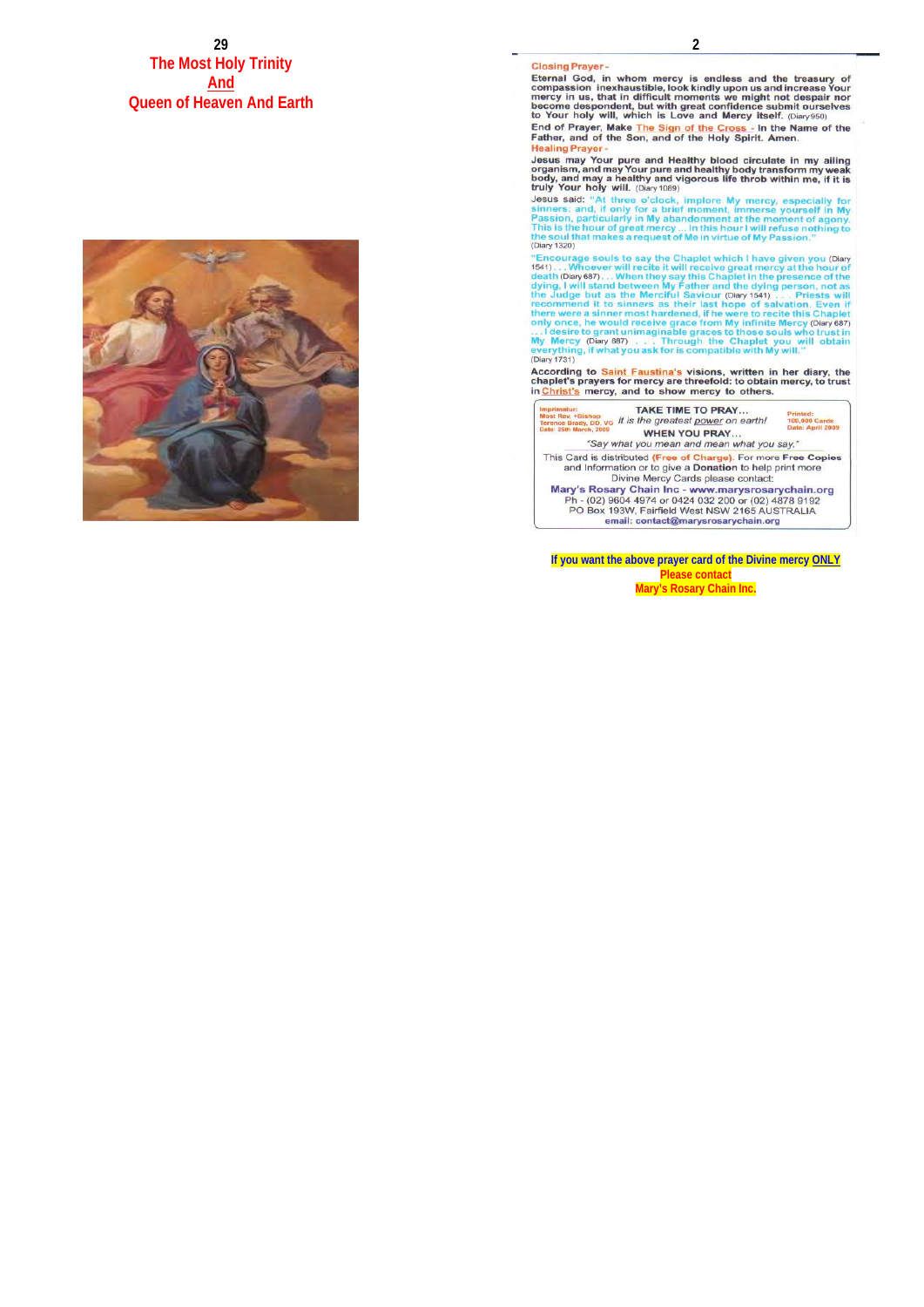**29 The Most Holy Trinity And Queen of Heaven And Earth**



#### **Closing Prayer-**

**Closing Prayer** -<br>Compassion in whom mercy is endless and the treasury of<br>Eternal God, in whom mercy is endless and the treasury of<br>compassion inexhaustible, look kindly upon us and increase Your<br>mercy in us, that in dif

**Healing Prayer** 

Jesus may Your pure and Healthy blood circulate in my ailing<br>organism, and may Your pure and healthy body transform my weak<br>body, and may a healthy and vigorous life throb within me, if it is<br>truly Your holy will. (Diary 1

truly Your holy will. (Diary 1089)<br>Jesus said: "At three o'clock, implore My mercy, especially for<br>sinners; and, if only for a brief moment, immerse yourself in My<br>Passion, particularly in My abandoment at the moment of ag (Diary 1320)

(Diary 1320)<br>
"Encourage souls to say the Chaplet which I have given you (Diary<br>
"Encourage souls to say the Chaplet which I have given you (Diary<br>
1541).... Whoever will receite it will receive great mercy at the bour of (Diary 1731)

According to **Saint Faustina's** visions, written in her diary, the chaplet's prayers for mercy are threefold: to obtain mercy, to trust in **Christ's** mercy, and to show mercy to others.



This Card is distributed (Free of Charge). For more Free Copies<br>and Information or to give a Donation to help print more

Divine Mercy Cards please contact:<br>Mary's Rosary Chain Inc. - www.marysrosarychain.org<br>Ph - (02) 9604 4974 or 0424 032 200 or (02) 4878 9192<br>PO Box 193W, Fairfield West NSW 2165 AUSTRALIA email: contact@marysrosarychain.org

**If you want the above prayer card of the Divine mercy ONLY Please contact Mary's Rosary Chain Inc.**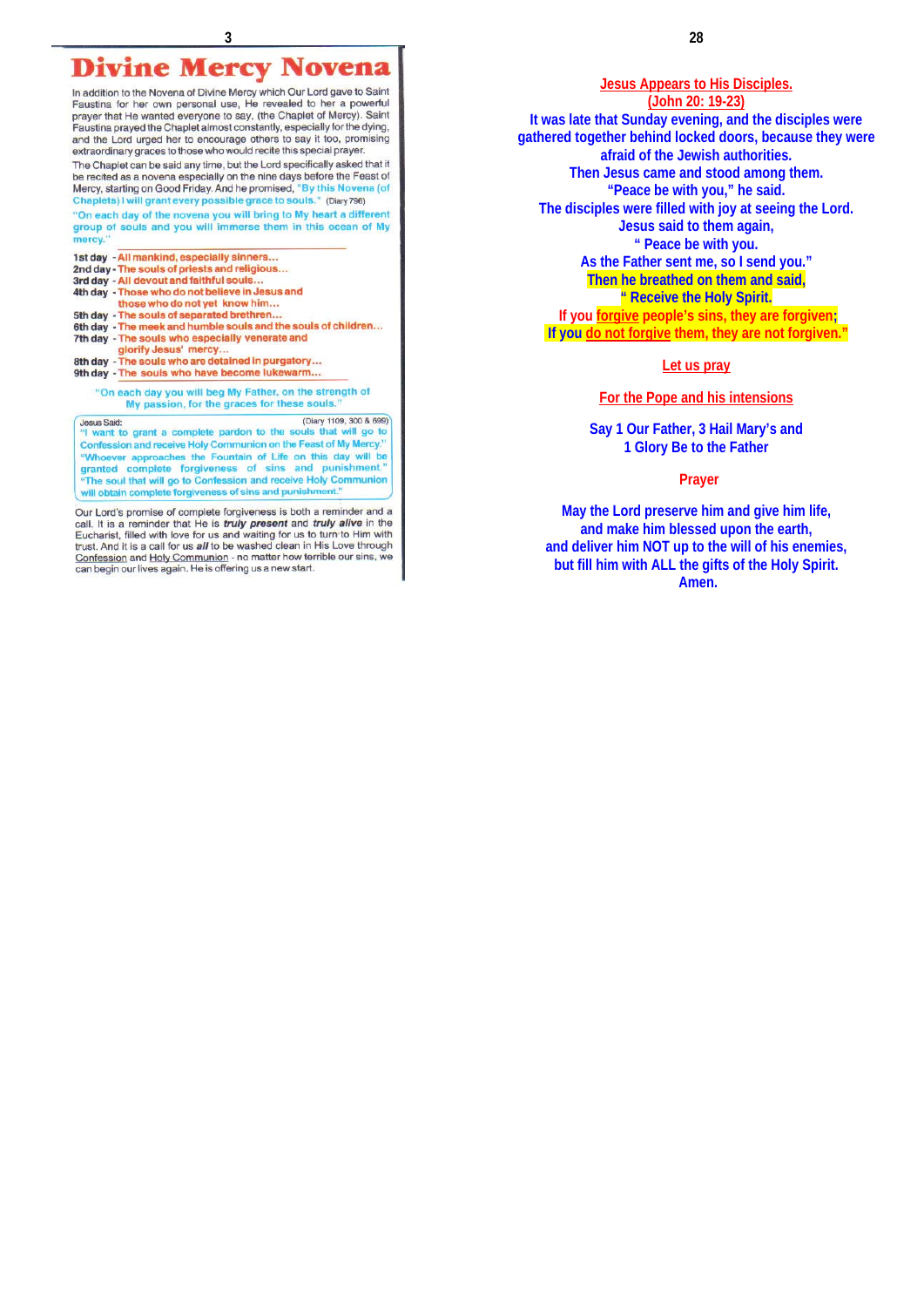# **Divine Mercy Novena**

In addition to the Novena of Divine Mercy which Our Lord gave to Saint Faustina for her own personal use, He revealed to her a powerful prayer that He wanted everyone to say, the Chaplet of Mercy). Saint<br>prayer that He wanted everyone to say, (the Chaplet of Mercy). Saint<br>Faustina prayed the Chaplet almost constantly, especially for the dying, and the Lord urged her to encourage others to say it too, promising extraordinary graces to those who would recite this special prayer.

The Chaplet can be said any time, but the Lord specifically asked that it be recited as a novena especially on the nine days before the Feast of Mercy, starting on Good Friday. And he promised, "By this Novena (of ts) I will grant every possible grace to souls." (Diary 796)

"On each day of the novena you will bring to My heart a different group of souls and you will immerse them in this ocean of My mercy.

1st day - All mankind, especially sinners... 2nd day - The souls of priests and religious...<br>3rd day - All devout and faithful souls... 4th day - Those who do not believe in Jesus and those who do not yet know him... 5th day - The souls of separated brethren. 6th day - The meek and humble souls and the souls of children... 7th day - The souls who especially venerate and<br>glorify Jesus' mercy... 8th day - The souls who are detained in purgatory... 9th day - The souls who have become lukewarm... "On each day you will beg My Father, on the strength of My passion, for the graces for these souls.

(Diary 1109, 300 & 699) **Jesus Said:** "I want to grant a complete pardon to the souls that will go to Confession and receive Holy Communion on the Feast of My Mercy "Whoever approaches the Fountain of Life on this day will be<br>granted complete forgiveness of sins and punishment." The soul that will go to Confession and receive Holy Communion will obtain complete forgiveness of sins and punishment."

Our Lord's promise of complete forgiveness is both a reminder and a call. It is a reminder that He is *truly present* and *truly alive* in the Eucharist, filled with love for us and waiting for us to turn to Him with trust Confession and Holy Communion - no matter how terrible our sins, w can begin our lives again. He is offering us a new start.

# **Jesus Appears to His Disciples.**

**(John 20: 19-23) It was late that Sunday evening, and the disciples were gathered together behind locked doors, because they were afraid of the Jewish authorities. Then Jesus came and stood among them. "Peace be with you," he said. The disciples were filled with joy at seeing the Lord. Jesus said to them again, " Peace be with you. As the Father sent me, so I send you." Then he breathed on them and said, " Receive the Holy Spirit. If you forgive people's sins, they are forgiven; If you do not forgive them, they are not forgiven."** 

# **Let us pray**

## **For the Pope and his intensions**

**Say 1 Our Father, 3 Hail Mary's and 1 Glory Be to the Father** 

#### **Prayer**

**May the Lord preserve him and give him life, and make him blessed upon the earth, and deliver him NOT up to the will of his enemies, but fill him with ALL the gifts of the Holy Spirit. Amen.**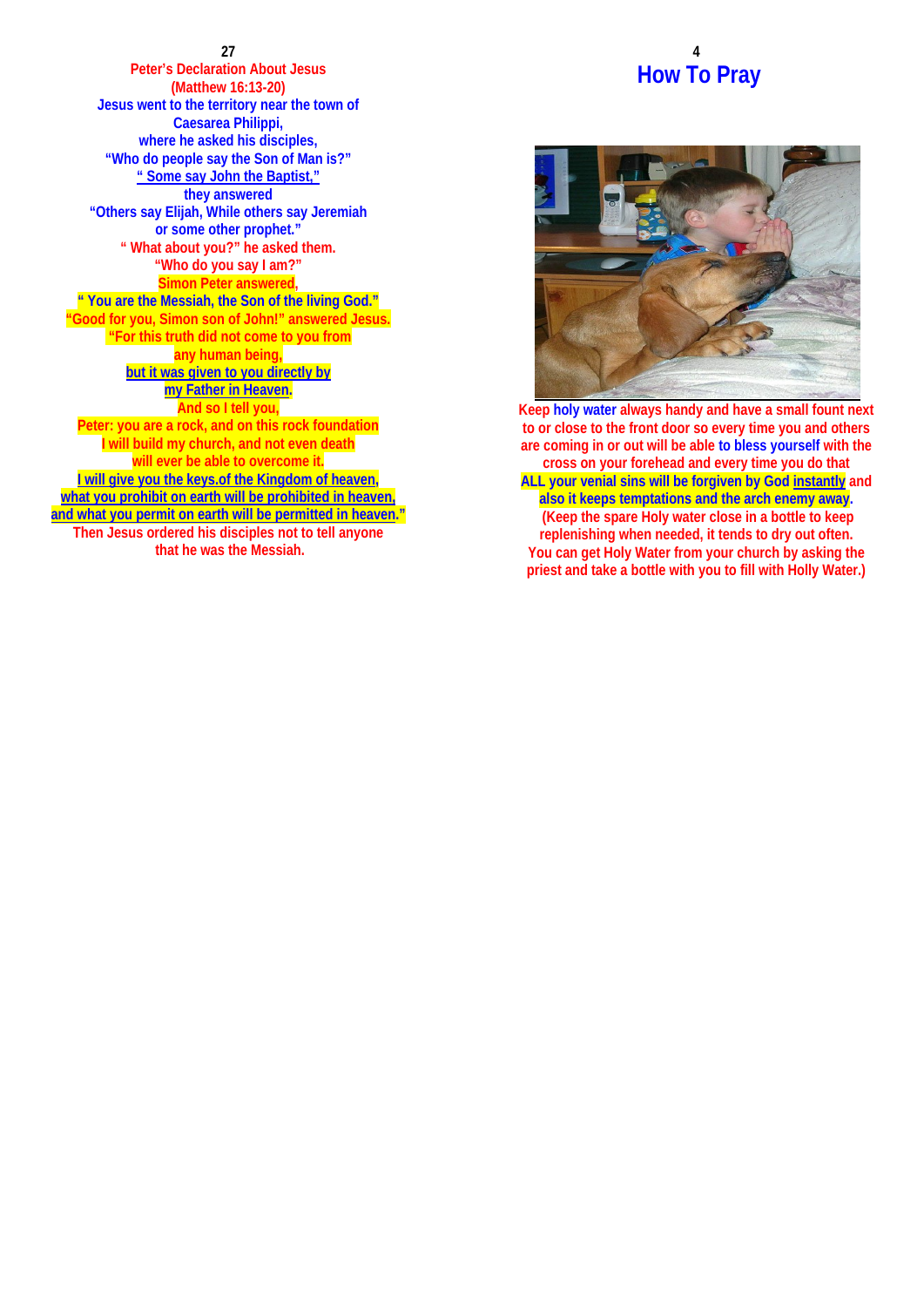**27 Peter's Declaration About Jesus (Matthew 16:13-20) Jesus went to the territory near the town of Caesarea Philippi, where he asked his disciples, "Who do people say the Son of Man is?" " Some say John the Baptist," they answered "Others say Elijah, While others say Jeremiah or some other prophet." " What about you?" he asked them. "Who do you say I am?" Simon Peter answered, " You are the Messiah, the Son of the living God." "Good for you, Simon son of John!" answered Jesus. "For this truth did not come to you from any human being, but it was given to you directly by my Father in Heaven. And so I tell you, Peter: you are a rock, and on this rock foundation I will build my church, and not even death will ever be able to overcome it. I will give you the keys.of the Kingdom of heaven, what you prohibit on earth will be prohibited in heaven, and what you permit on earth will be permitted in heaven." Then Jesus ordered his disciples not to tell anyone that he was the Messiah.**

# **4 How To Pray**



**Keep holy water always handy and have a small fount next to or close to the front door so every time you and others are coming in or out will be able to bless yourself with the cross on your forehead and every time you do that ALL your venial sins will be forgiven by God instantly and also it keeps temptations and the arch enemy away. (Keep the spare Holy water close in a bottle to keep replenishing when needed, it tends to dry out often. You can get Holy Water from your church by asking the priest and take a bottle with you to fill with Holly Water.)**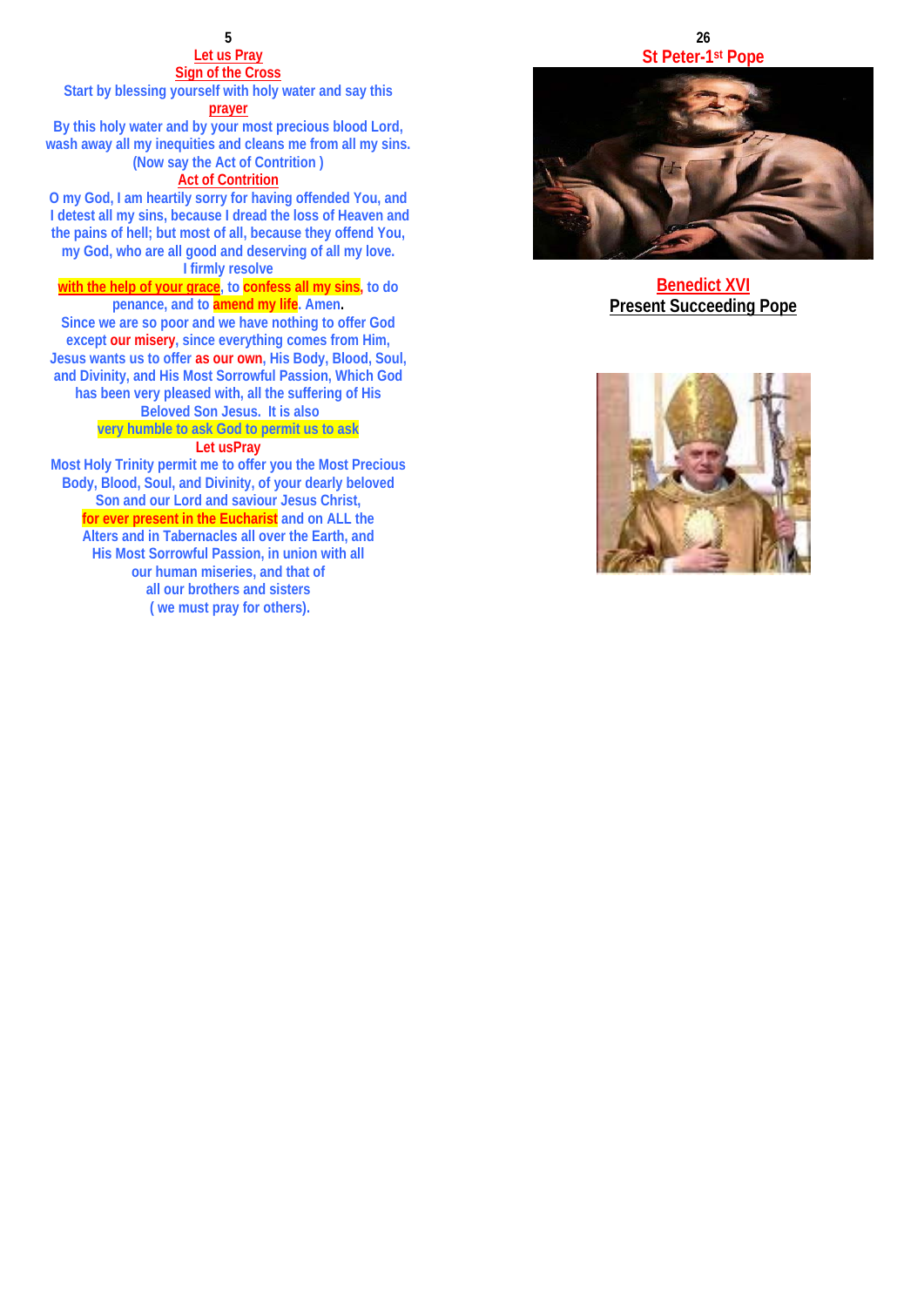## **Let us Pray Sign of the Cross**

**Start by blessing yourself with holy water and say this prayer**

**By this holy water and by your most precious blood Lord, wash away all my inequities and cleans me from all my sins. (Now say the Act of Contrition )** 

**Act of Contrition**

**O my God, I am heartily sorry for having offended You, and I detest all my sins, because I dread the loss of Heaven and the pains of hell; but most of all, because they offend You, my God, who are all good and deserving of all my love. I firmly resolve** 

# **with the help of your grace, to confess all my sins, to do penance, and to amend my life. Amen .**

**Since we are so poor and we have nothing to offer God except our misery, since everything comes from Him, Jesus wants us to offer as our own, His Body, Blood, Soul, and Divinity, and His Most Sorrowful Passion, Which God has been very pleased with, all the suffering of His** 

# **Beloved Son Jesus. It is also very humble to ask God to permit us to ask**

# **Let usPray**

**Most Holy Trinity permit me to offer you the Most Precious Body, Blood, Soul, and Divinity, of your dearly beloved Son and our Lord and saviour Jesus Christ, for ever present in the Eucharist and on ALL the Alters and in Tabernacles all over the Earth, and His Most Sorrowful Passion, in union with all our human miseries, and that of all our brothers and sisters ( we must pray for others).**

## **26 St Peter-1st Pope**



**Benedict XVI Present Succeeding Pope**

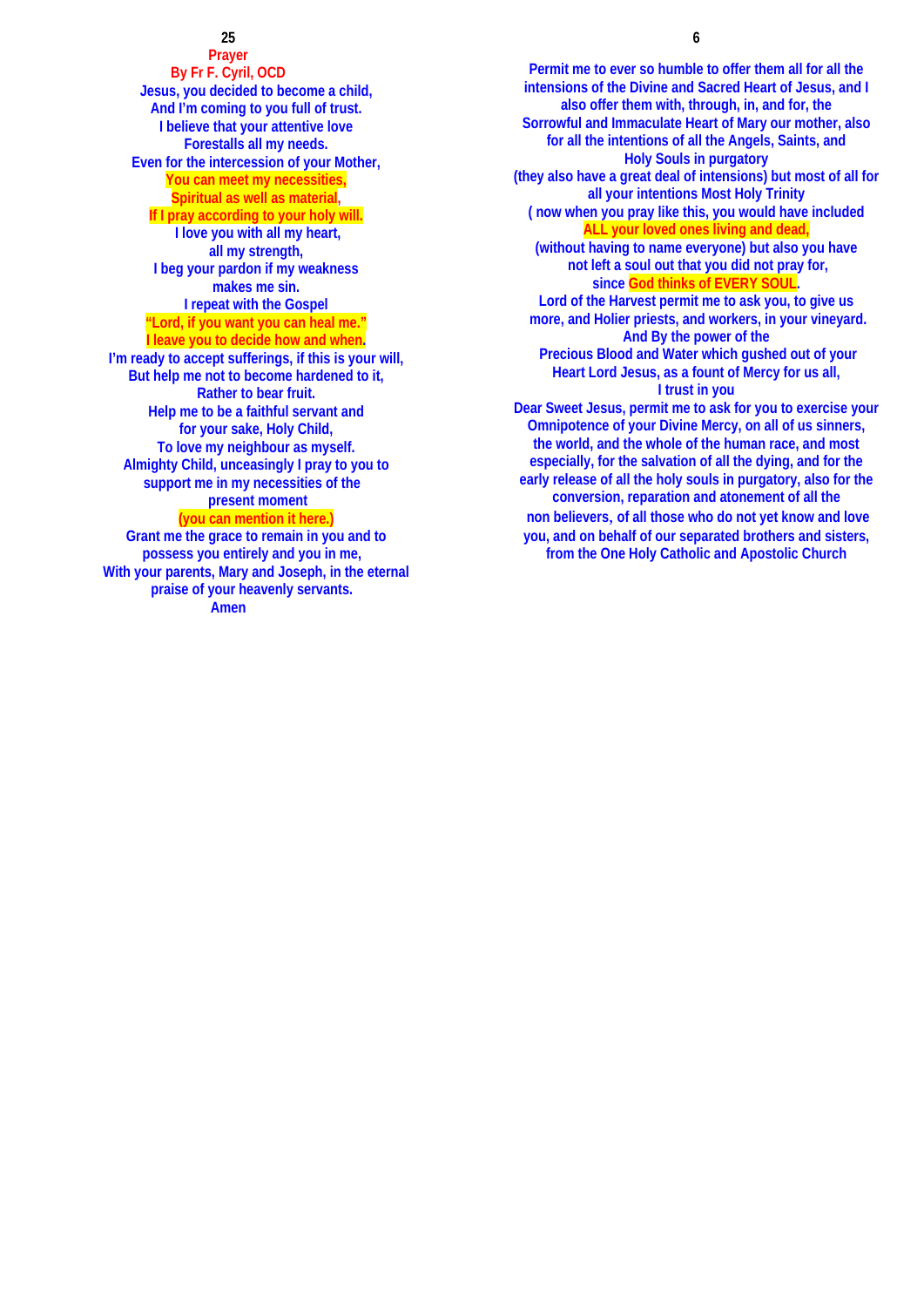**Prayer By Fr F. Cyril, OCD Jesus, you decided to become a child, And I'm coming to you full of trust. I believe that your attentive love Forestalls all my needs. Even for the intercession of your Mother, You can meet my necessities, Spiritual as well as material, If I pray according to your holy will. I love you with all my heart, all my strength, I beg your pardon if my weakness makes me sin. I repeat with the Gospel "Lord, if you want you can heal me." I leave you to decide how and when. I'm ready to accept sufferings, if this is your will, But help me not to become hardened to it, Rather to bear fruit. Help me to be a faithful servant and for your sake, Holy Child, To love my neighbour as myself. Almighty Child, unceasingly I pray to you to support me in my necessities of the present moment (you can mention it here.) Grant me the grace to remain in you and to possess you entirely and you in me,** 

**With your parents, Mary and Joseph, in the eternal praise of your heavenly servants. Amen** 

 **6**

**Permit me to ever so humble to offer them all for all the intensions of the Divine and Sacred Heart of Jesus, and I also offer them with, through, in, and for, the Sorrowful and Immaculate Heart of Mary our mother, also for all the intentions of all the Angels, Saints, and Holy Souls in purgatory (they also have a great deal of intensions) but most of all for all your intentions Most Holy Trinity ( now when you pray like this, you would have included ALL your loved ones living and dead, (without having to name everyone) but also you have not left a soul out that you did not pray for, since God thinks of EVERY SOUL. Lord of the Harvest permit me to ask you, to give us more, and Holier priests, and workers, in your vineyard. And By the power of the Precious Blood and Water which gushed out of your Heart Lord Jesus, as a fount of Mercy for us all, I trust in you Dear Sweet Jesus, permit me to ask for you to exercise your Omnipotence of your Divine Mercy, on all of us sinners, the world, and the whole of the human race, and most especially, for the salvation of all the dying, and for the early release of all the holy souls in purgatory, also for the conversion, reparation and atonement of all the non believers**, **of all those who do not yet know and love you, and on behalf of our separated brothers and sisters, from the One Holy Catholic and Apostolic Church**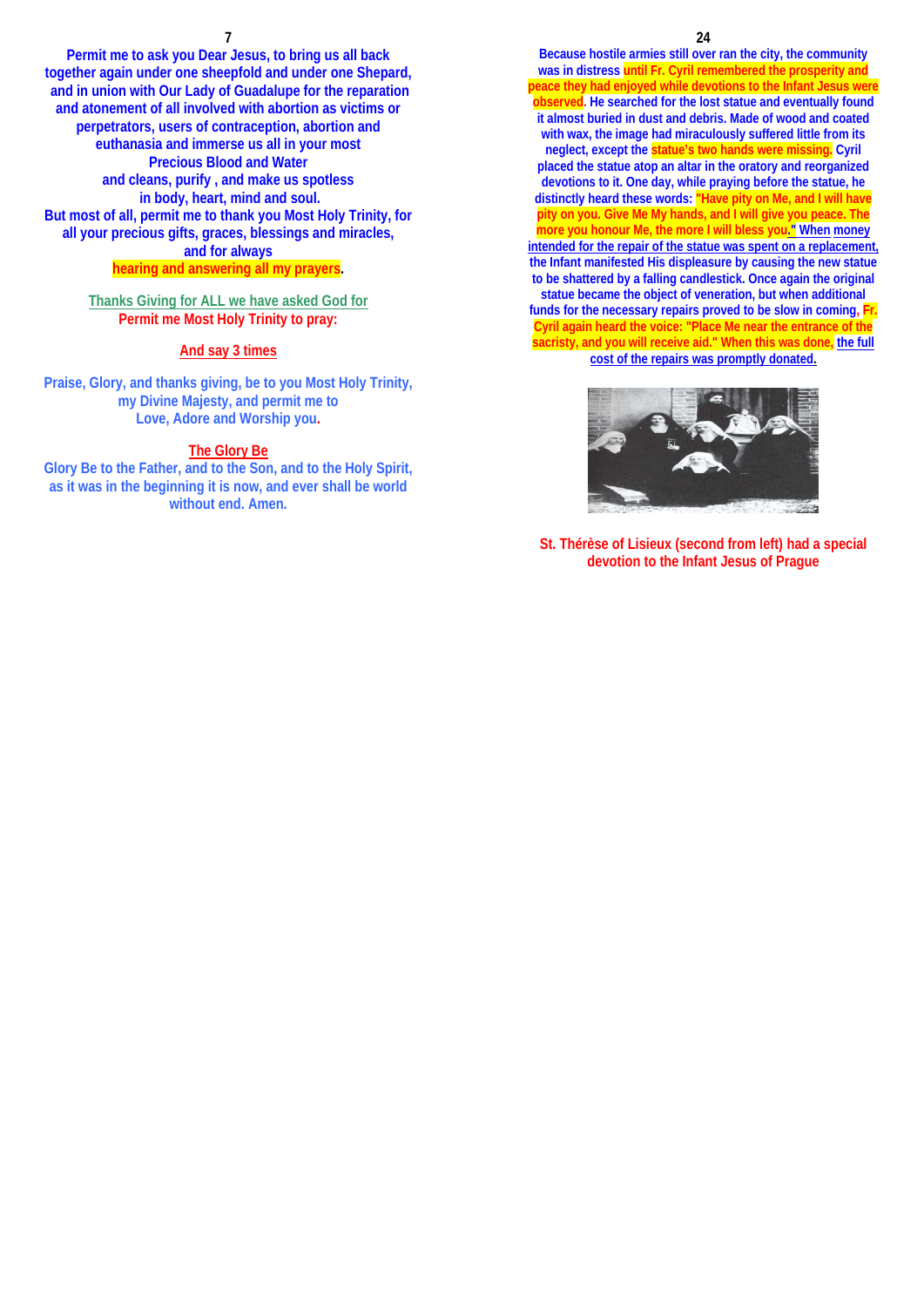**Permit me to ask you Dear Jesus, to bring us all back together again under one sheepfold and under one Shepard, and in union with Our Lady of Guadalupe for the reparation and atonement of all involved with abortion as victims or perpetrators, users of contraception, abortion and euthanasia and immerse us all in your most Precious Blood and Water and cleans, purify , and make us spotless in body, heart, mind and soul. But most of all, permit me to thank you Most Holy Trinity, for all your precious gifts, graces, blessings and miracles, and for always hearing and answering all my prayers.** 

**Thanks Giving for ALL we have asked God for Permit me Most Holy Trinity to pray:** 

# **And say 3 times**

**Praise, Glory, and thanks giving, be to you Most Holy Trinity, my Divine Majesty, and permit me to Love, Adore and Worship you.** 

#### **The Glory Be**

**Glory Be to the Father, and to the Son, and to the Holy Spirit, as it was in the beginning it is now, and ever shall be world without end. Amen.**

**Because hostile armies still over ran the city, the community was in distress until Fr. Cyril remembered the prosperity and peace they had enjoyed while devotions to the Infant Jesus were observed. He searched for the lost statue and eventually found it almost buried in dust and debris. Made of wood and coated with wax, the image had miraculously suffered little from its neglect, except the statue's two hands were missing. Cyril placed the statue atop an altar in the oratory and reorganized devotions to it. One day, while praying before the statue, he distinctly heard these words: "Have pity on Me, and I will have pity on you. Give Me My hands, and I will give you peace. The more you honour Me, the more I will bless you." When money intended for the repair of the statue was spent on a replacement, the Infant manifested His displeasure by causing the new statue to be shattered by a falling candlestick. Once again the original statue became the object of veneration, but when additional funds for the necessary repairs proved to be slow in coming, Fr. Cyril again heard the voice: "Place Me near the entrance of the sacristy, and you will receive aid." When this was done, the full cost of the repairs was promptly donated.**



**St. Thérèse of Lisieux (second from left) had a special devotion to the Infant Jesus of Prague**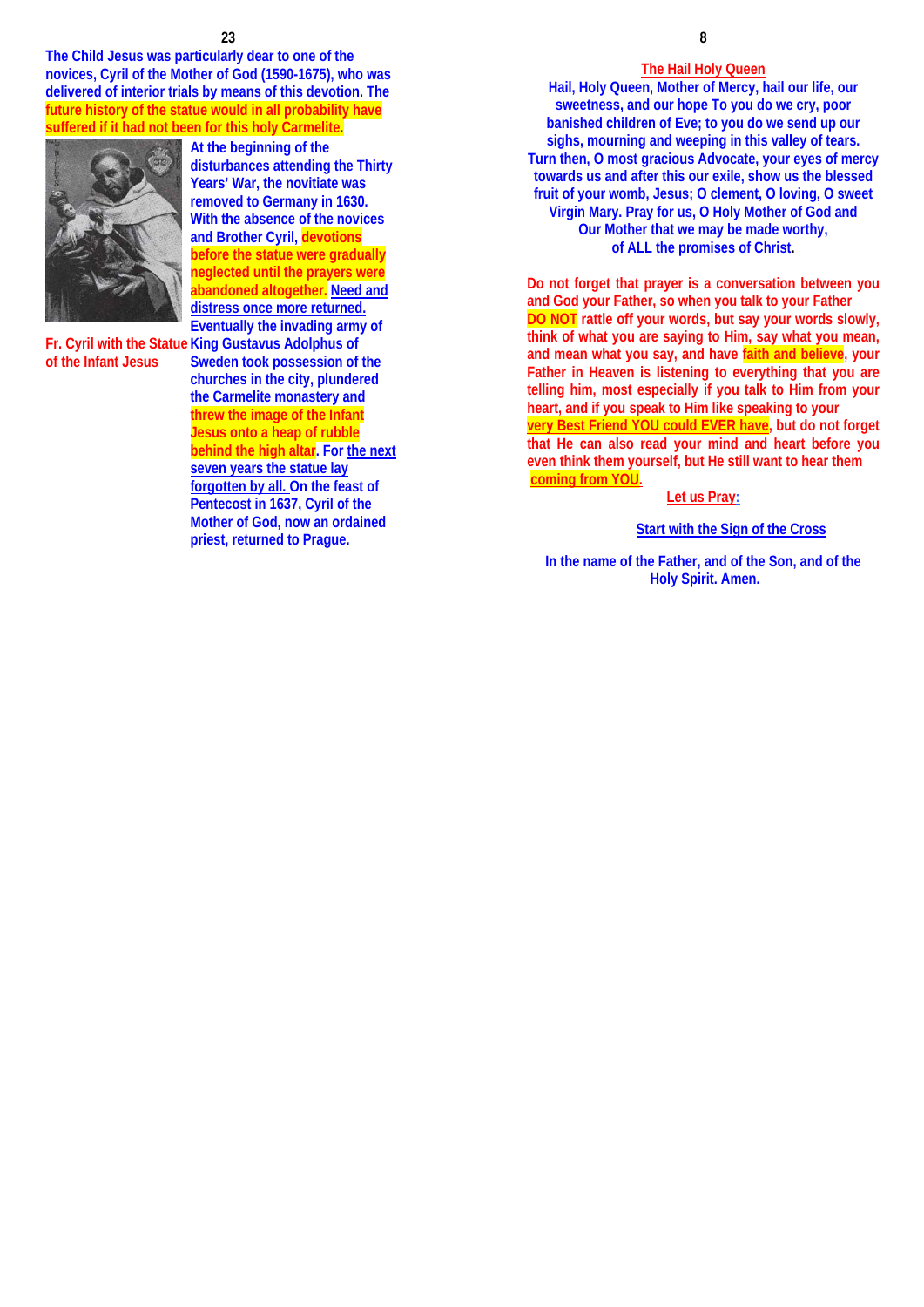**The Child Jesus was particularly dear to one of the novices, Cyril of the Mother of God (1590-1675), who was delivered of interior trials by means of this devotion. The future history of the statue would in all probability have suffered if it had not been for this holy Carmelite.** 



**of the Infant Jesus**

**Fr. Cyril with the Statue King Gustavus Adolphus of At the beginning of the disturbances attending the Thirty Years' War, the novitiate was removed to Germany in 1630. With the absence of the novices and Brother Cyril, devotions before the statue were gradually neglected until the prayers were abandoned altogether. Need and distress once more returned. Eventually the invading army of Sweden took possession of the churches in the city, plundered the Carmelite monastery and** 

**threw the image of the Infant Jesus onto a heap of rubble behind the high altar. For the next seven years the statue lay forgotten by all. On the feast of Pentecost in 1637, Cyril of the Mother of God, now an ordained priest, returned to Prague.** 

## **The Hail Holy Queen**

**Hail, Holy Queen, Mother of Mercy, hail our life, our sweetness, and our hope To you do we cry, poor banished children of Eve; to you do we send up our sighs, mourning and weeping in this valley of tears. Turn then, O most gracious Advocate, your eyes of mercy towards us and after this our exile, show us the blessed fruit of your womb, Jesus; O clement, O loving, O sweet Virgin Mary. Pray for us, O Holy Mother of God and Our Mother that we may be made worthy, of ALL the promises of Christ.** 

**Do not forget that prayer is a conversation between you and God your Father, so when you talk to your Father DO NOT rattle off your words, but say your words slowly, think of what you are saying to Him, say what you mean, and mean what you say, and have faith and believe, your Father in Heaven is listening to everything that you are telling him, most especially if you talk to Him from your heart, and if you speak to Him like speaking to your very Best Friend YOU could EVER have, but do not forget that He can also read your mind and heart before you even think them yourself, but He still want to hear them coming from YOU.**

# **Let us Pray:**

# **Start with the Sign of the Cross**

**In the name of the Father, and of the Son, and of the Holy Spirit. Amen.**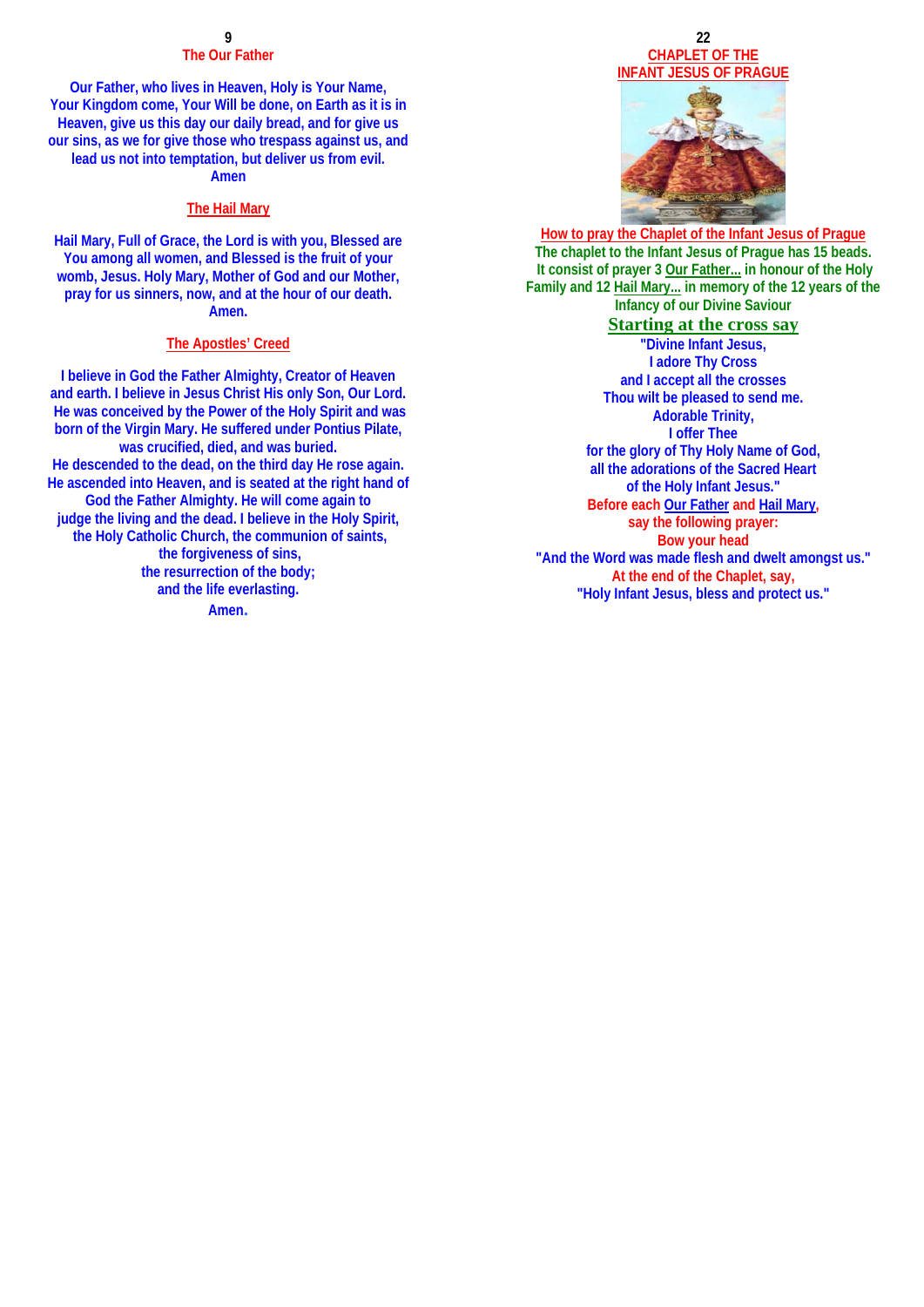# **The Our Father**

**Our Father, who lives in Heaven, Holy is Your Name, Your Kingdom come, Your Will be done, on Earth as it is in Heaven, give us this day our daily bread, and for give us our sins, as we for give those who trespass against us, and lead us not into temptation, but deliver us from evil. Amen** 

# **The Hail Mary**

**Hail Mary, Full of Grace, the Lord is with you, Blessed are You among all women, and Blessed is the fruit of your womb, Jesus. Holy Mary, Mother of God and our Mother, pray for us sinners, now, and at the hour of our death. Amen.** 

### **The Apostles' Creed**

**I believe in God the Father Almighty, Creator of Heaven and earth. I believe in Jesus Christ His only Son, Our Lord. He was conceived by the Power of the Holy Spirit and was born of the Virgin Mary. He suffered under Pontius Pilate, was crucified, died, and was buried. He descended to the dead, on the third day He rose again. He ascended into Heaven, and is seated at the right hand of God the Father Almighty. He will come again to judge the living and the dead. I believe in the Holy Spirit, the Holy Catholic Church, the communion of saints, the forgiveness of sins, the resurrection of the body; and the life everlasting. Amen.**

# **22 CHAPLET OF THE INFANT JESUS OF PRAGUE**



**How to pray the Chaplet of the Infant Jesus of Prague The chaplet to the Infant Jesus of Prague has 15 beads. It consist of prayer 3 Our Father... in honour of the Holy Family and 12 Hail Mary... in memory of the 12 years of the Infancy of our Divine Saviour** 

# **Starting at the cross say**

**"Divine Infant Jesus, I adore Thy Cross and I accept all the crosses Thou wilt be pleased to send me. Adorable Trinity, I offer Thee for the glory of Thy Holy Name of God, all the adorations of the Sacred Heart of the Holy Infant Jesus." Before each Our Father and Hail Mary, say the following prayer: Bow your head "And the Word was made flesh and dwelt amongst us." At the end of the Chaplet, say, "Holy Infant Jesus, bless and protect us."**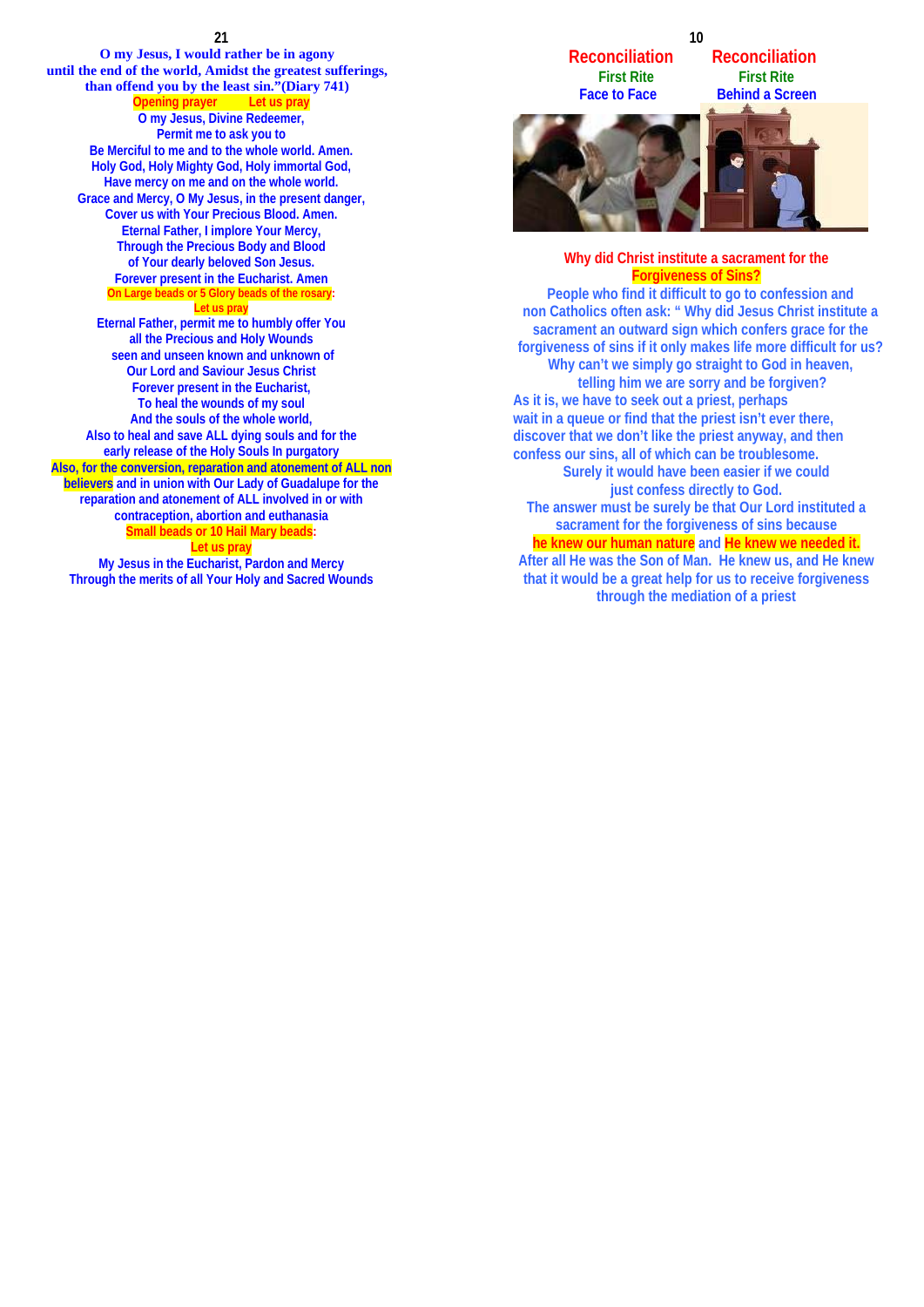**21 O my Jesus, I would rather be in agony until the end of the world, Amidst the greatest sufferings, than offend you by the least sin."(Diary 741) Opening prayer Let us pray O my Jesus, Divine Redeemer, Permit me to ask you to Be Merciful to me and to the whole world. Amen. Holy God, Holy Mighty God, Holy immortal God, Have mercy on me and on the whole world. Grace and Mercy, O My Jesus, in the present danger, Cover us with Your Precious Blood. Amen. Eternal Father, I implore Your Mercy, Through the Precious Body and Blood of Your dearly beloved Son Jesus. Forever present in the Eucharist. Amen On Large beads or 5 Glory beads of the rosary: Let us pray Eternal Father, permit me to humbly offer You all the Precious and Holy Wounds seen and unseen known and unknown of Our Lord and Saviour Jesus Christ Forever present in the Eucharist, To heal the wounds of my soul And the souls of the whole world, Also to heal and save ALL dying souls and for the early release of the Holy Souls In purgatory Also, for the conversion, reparation and atonement of ALL non believers and in union with Our Lady of Guadalupe for the reparation and atonement of ALL involved in or with contraception, abortion and euthanasia Small beads or 10 Hail Mary beads: Let us pray My Jesus in the Eucharist, Pardon and Mercy**

**Through the merits of all Your Holy and Sacred Wounds** 

**Reconciliation Reconciliation**<br>**First Rite Rist Rite First Rite** 

**Face to Face Behind a Screen** 



# **Why did Christ institute a sacrament for the Forgiveness of Sins?**

**People who find it difficult to go to confession and non Catholics often ask: " Why did Jesus Christ institute a sacrament an outward sign which confers grace for the forgiveness of sins if it only makes life more difficult for us? Why can't we simply go straight to God in heaven, telling him we are sorry and be forgiven? As it is, we have to seek out a priest, perhaps wait in a queue or find that the priest isn't ever there, discover that we don't like the priest anyway, and then confess our sins, all of which can be troublesome. Surely it would have been easier if we could just confess directly to God. The answer must be surely be that Our Lord instituted a sacrament for the forgiveness of sins because he knew our human nature and He knew we needed it. After all He was the Son of Man. He knew us, and He knew that it would be a great help for us to receive forgiveness through the mediation of a priest**

### **10**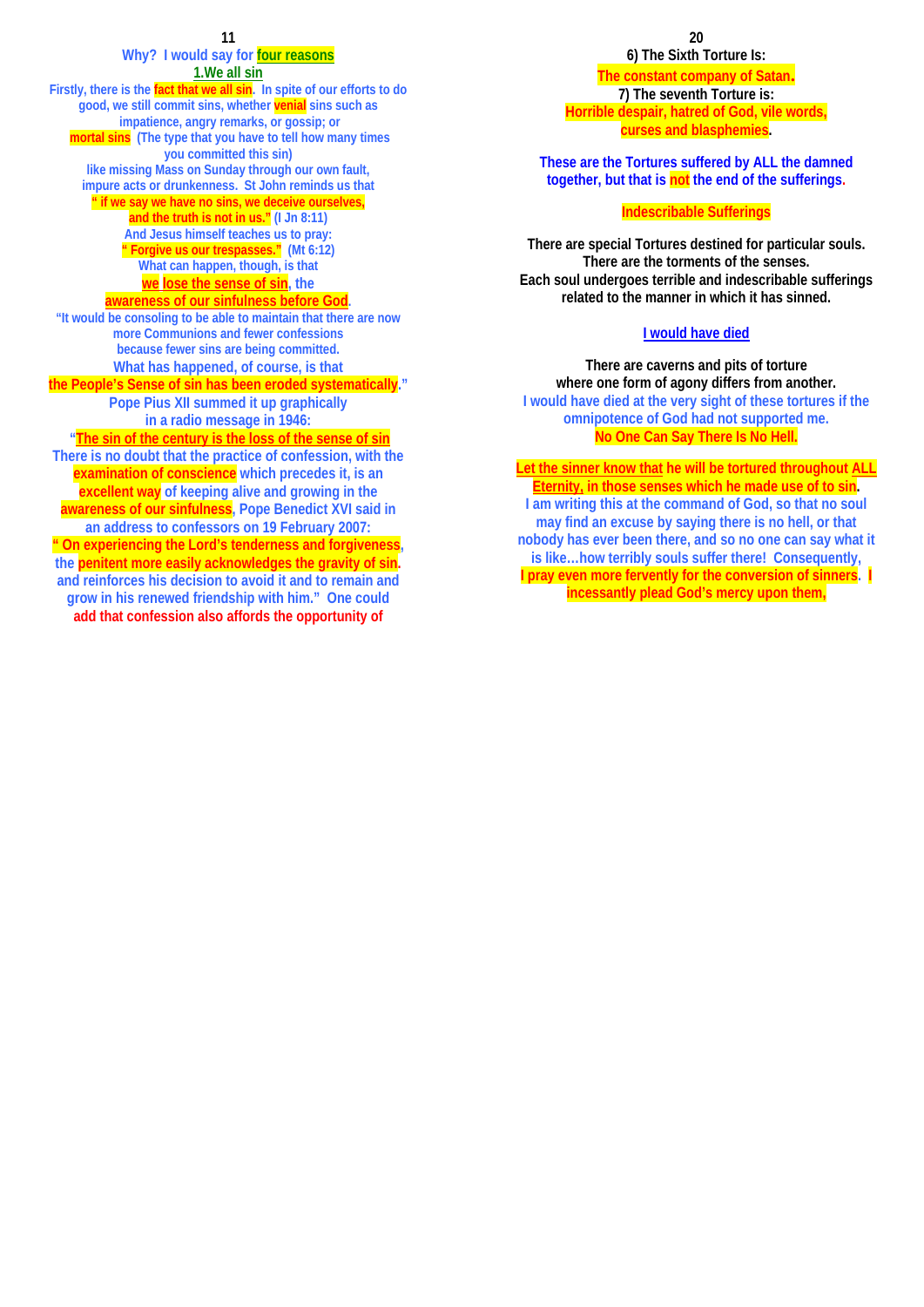## **Why? I would say for four reasons 1.We all sin Firstly, there is the fact that we all sin. In spite of our efforts to do good, we still commit sins, whether venial sins such as impatience, angry remarks, or gossip; or mortal sins (The type that you have to tell how many times you committed this sin) like missing Mass on Sunday through our own fault, impure acts or drunkenness. St John reminds us that " if we say we have no sins, we deceive ourselves, and the truth is not in us." (I Jn 8:11) And Jesus himself teaches us to pray: " Forgive us our trespasses." (Mt 6:12) What can happen, though, is that we lose the sense of sin, the awareness of our sinfulness before God. "It would be consoling to be able to maintain that there are now more Communions and fewer confessions because fewer sins are being committed. What has happened, of course, is that the People's Sense of sin has been eroded systematically." Pope Pius XII summed it up graphically in a radio message in 1946: "The sin of the century is the loss of the sense of sin There is no doubt that the practice of confession, with the examination of conscience which precedes it, is an excellent way of keeping alive and growing in the awareness of our sinfulness, Pope Benedict XVI said in an address to confessors on 19 February 2007: " On experiencing the Lord's tenderness and forgiveness,**

**the penitent more easily acknowledges the gravity of sin. and reinforces his decision to avoid it and to remain and grow in his renewed friendship with him." One could add that confession also affords the opportunity of**

**20 20 6) The Sixth Torture Is:** 

> **The constant company of Satan. 7) The seventh Torture is: Horrible despair, hatred of God, vile words, curses and blasphemies.**

**These are the Tortures suffered by ALL the damned together, but that is not the end of the sufferings.** 

# **Indescribable Sufferings**

**There are special Tortures destined for particular souls. There are the torments of the senses. Each soul undergoes terrible and indescribable sufferings related to the manner in which it has sinned.** 

# **I would have died**

**There are caverns and pits of torture where one form of agony differs from another. I would have died at the very sight of these tortures if the omnipotence of God had not supported me. No One Can Say There Is No Hell.** 

**Let the sinner know that he will be tortured throughout ALL Eternity, in those senses which he made use of to sin. I am writing this at the command of God, so that no soul may find an excuse by saying there is no hell, or that nobody has ever been there, and so no one can say what it is like…how terribly souls suffer there! Consequently, I pray even more fervently for the conversion of sinners. I incessantly plead God's mercy upon them,**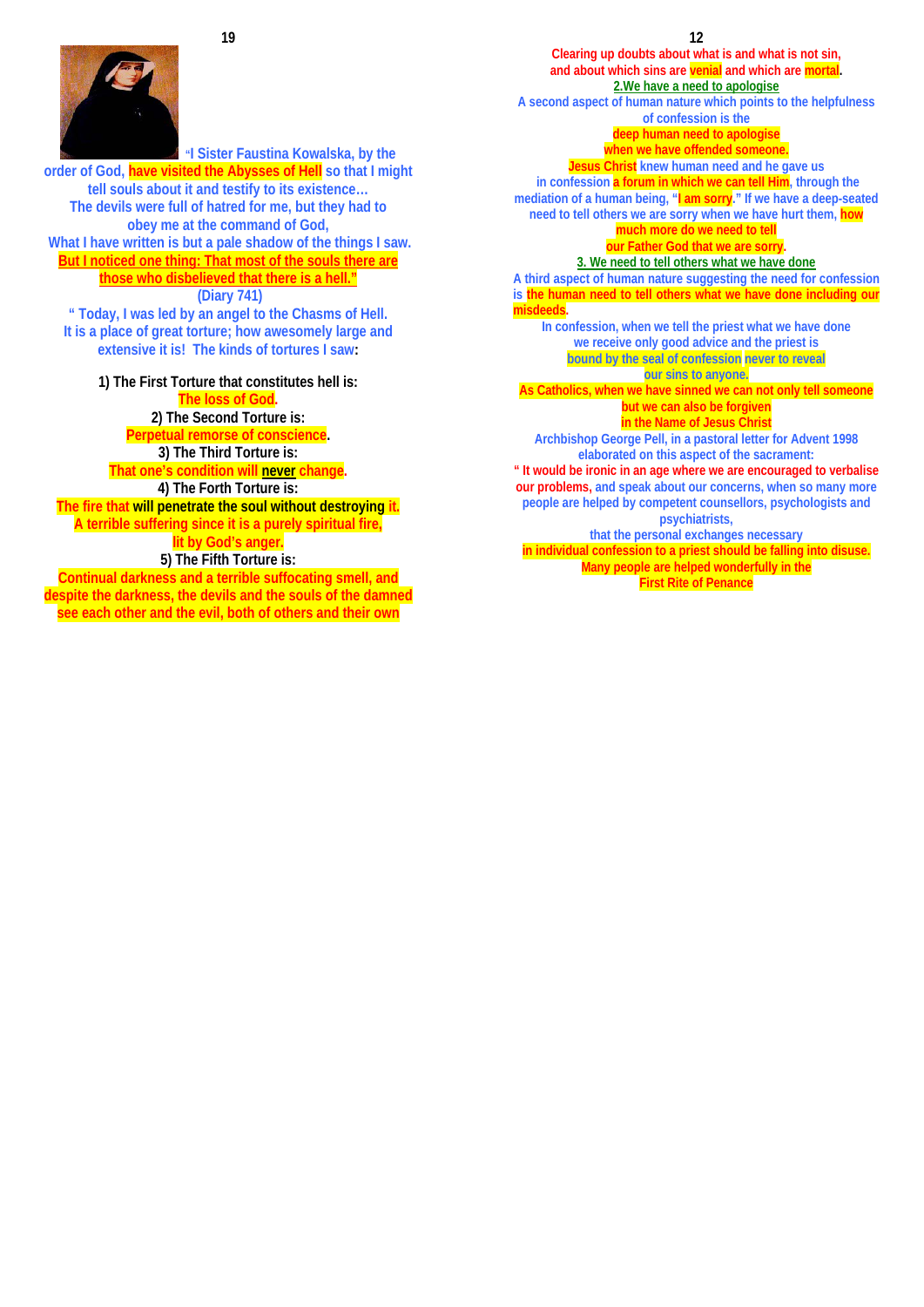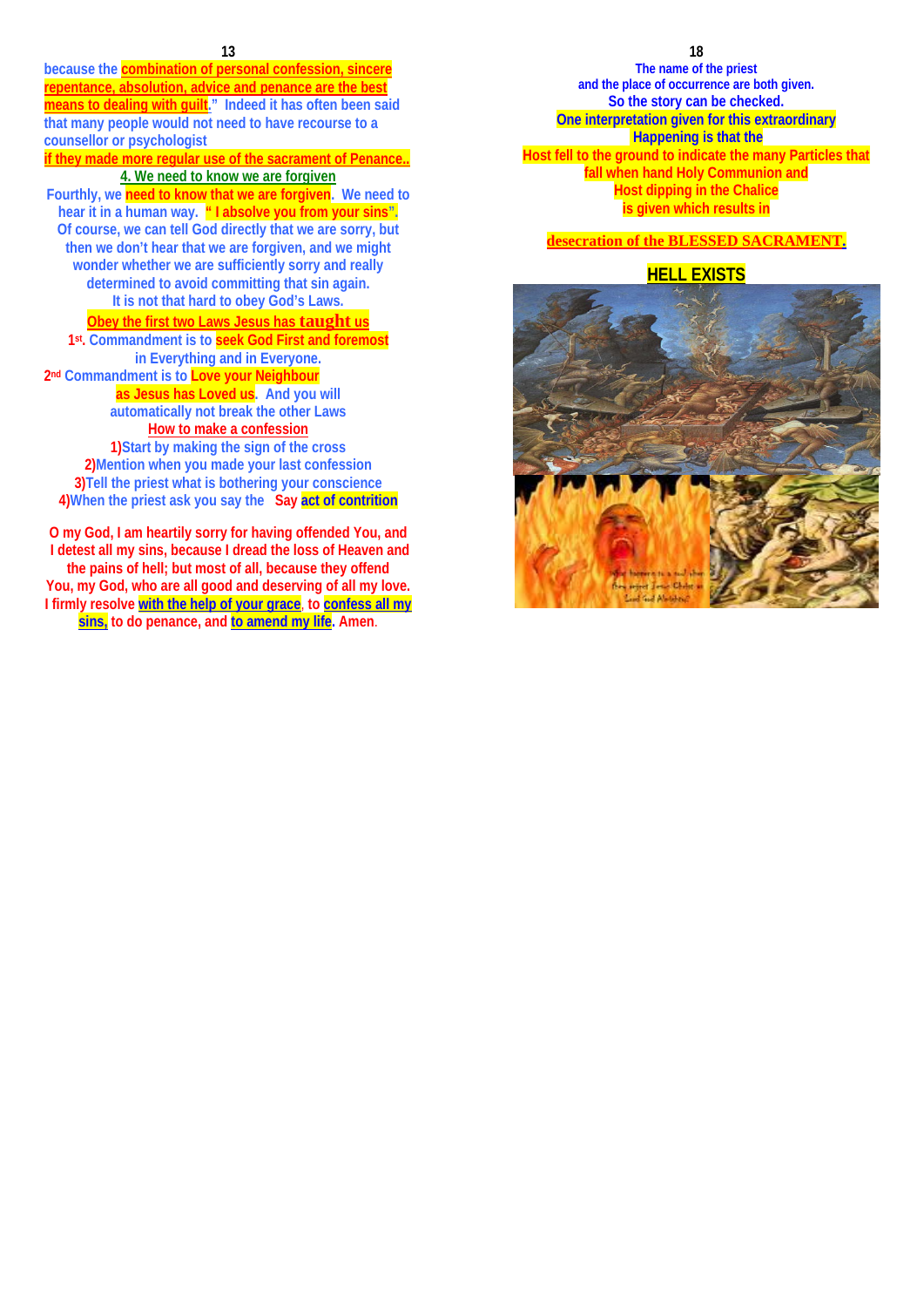**because the combination of personal confession, sincere**  repentance, absolution, advice and penance are the best **means to dealing with guilt." Indeed it has often been said that many people would not need to have recourse to a counsellor or psychologist** 

**if they made more regular use of the sacrament of Penance.. 4. We need to know we are forgiven Fourthly, we need to know that we are forgiven. We need to hear it in a human way. " I absolve you from your sins". Of course, we can tell God directly that we are sorry, but then we don't hear that we are forgiven, and we might** 

**wonder whether we are sufficiently sorry and really determined to avoid committing that sin again. It is not that hard to obey God's Laws.** 

# **Obey the first two Laws Jesus has taught us**

**1st. Commandment is to seek God First and foremost in Everything and in Everyone. 2nd Commandment is to Love your Neighbour as Jesus has Loved us. And you will automatically not break the other Laws How to make a confession**

**1)Start by making the sign of the cross 2)Mention when you made your last confession 3)Tell the priest what is bothering your conscience 4)When the priest ask you say the Say act of contrition** 

**O my God, I am heartily sorry for having offended You, and I detest all my sins, because I dread the loss of Heaven and the pains of hell; but most of all, because they offend You, my God, who are all good and deserving of all my love. I firmly resolve with the help of your grace**, **to confess all my sins, to do penance, and to amend my life. Amen**.

#### **18**

**The name of the priest and the place of occurrence are both given. So the story can be checked. One interpretation given for this extraordinary Happening is that the Host fell to the ground to indicate the many Particles that fall when hand Holy Communion and Host dipping in the Chalice is given which results in** 

# **desecration of the BLESSED SACRAMENT.**

# **HELL EXISTS**

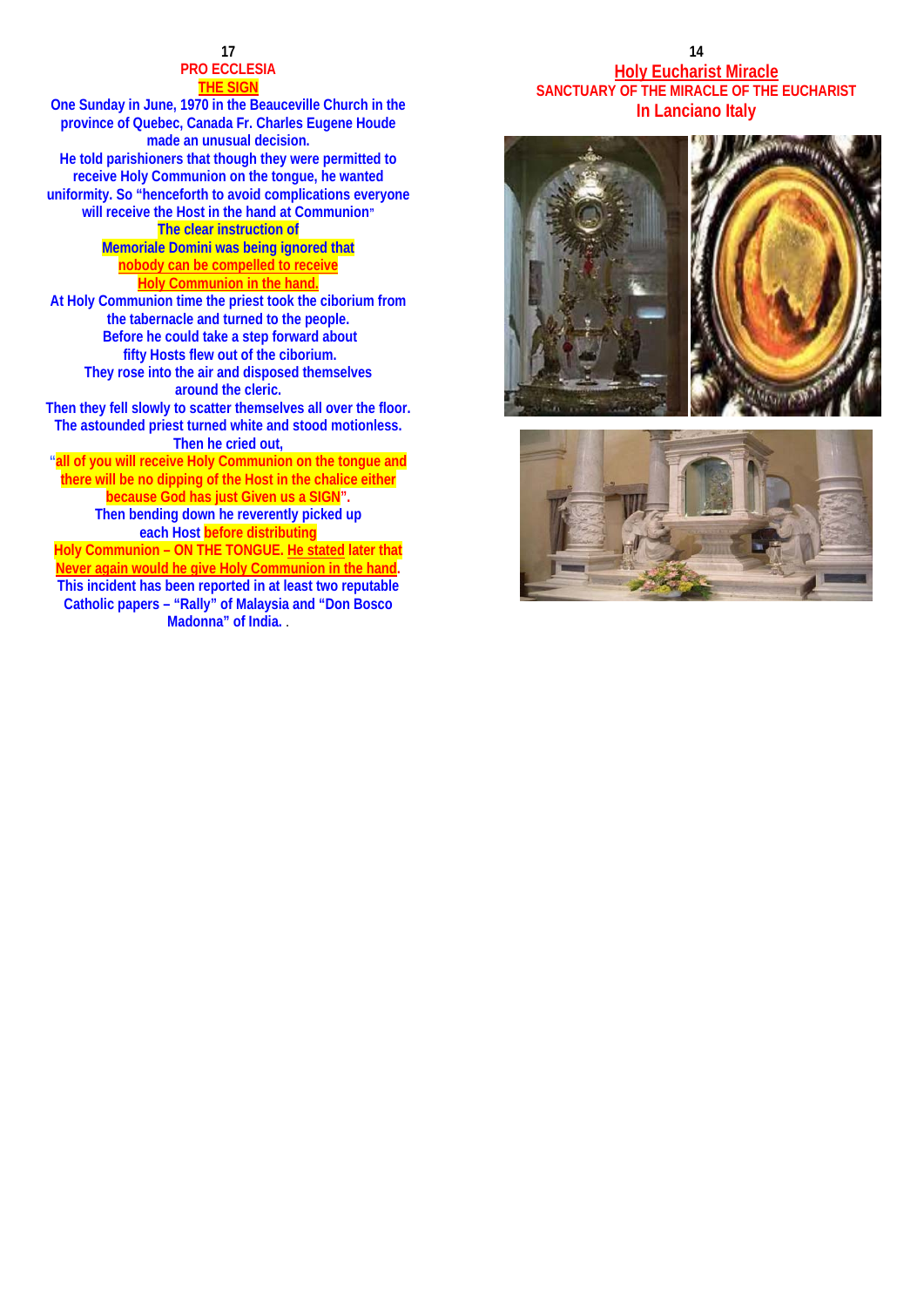# **PRO ECCLESIA THE SIGN**

**One Sunday in June, 1970 in the Beauceville Church in the province of Quebec, Canada Fr. Charles Eugene Houde made an unusual decision. He told parishioners that though they were permitted to receive Holy Communion on the tongue, he wanted uniformity. So "henceforth to avoid complications everyone will receive the Host in the hand at Communion" The clear instruction of Memoriale Domini was being ignored that nobody can be compelled to receive Holy Communion in the hand. At Holy Communion time the priest took the ciborium from the tabernacle and turned to the people. Before he could take a step forward about fifty Hosts flew out of the ciborium. They rose into the air and disposed themselves around the cleric. Then they fell slowly to scatter themselves all over the floor. The astounded priest turned white and stood motionless. Then he cried out, "all of you will receive Holy Communion on the tongue and there will be no dipping of the Host in the chalice either because God has just Given us a SIGN". Then bending down he reverently picked up each Host before distributing Holy Communion – ON THE TONGUE. He stated later that Never again would he give Holy Communion in the hand. This incident has been reported in at least two reputable Catholic papers – "Rally" of Malaysia and "Don Bosco Madonna" of India.** .

# **14 14 Holy Eucharist Miracle SANCTUARY OF THE MIRACLE OF THE EUCHARIST In Lanciano Italy**